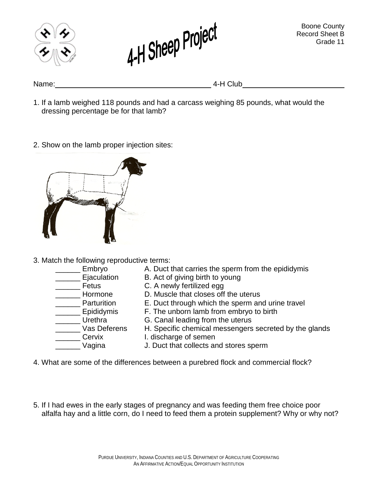



Name: 4-H Club

- 1. If a lamb weighed 118 pounds and had a carcass weighing 85 pounds, what would the dressing percentage be for that lamb?
- 2. Show on the lamb proper injection sites:



- 3. Match the following reproductive terms:
	- **Embryo** A. Duct that carries the sperm from the epididymis
	- \_\_\_\_\_\_ Ejaculation B. Act of giving birth to young<br>\_\_\_\_\_\_ Fetus C. A newly fertilized eaa
	-
	- \_\_\_\_\_\_ Hormone D. Muscle that closes off the uterus<br>
	Parturition E. Duct through which the sperm an
	- \_\_\_\_\_\_\_ Parturition E. Duct through which the sperm and urine travel<br>\_\_\_\_\_\_ Epididymis F. The unborn lamb from embryo to birth
	- Urethra G. Canal leading from the uterus
	- Vas Deferens H. Specific chemical messengers secreted by the glands
	-
- Cervix I. discharge of semen

C. A newly fertilized egg

\_\_\_\_\_\_ Vagina J. Duct that collects and stores sperm

F. The unborn lamb from embryo to birth

- 4. What are some of the differences between a purebred flock and commercial flock?
- 5. If I had ewes in the early stages of pregnancy and was feeding them free choice poor alfalfa hay and a little corn, do I need to feed them a protein supplement? Why or why not?